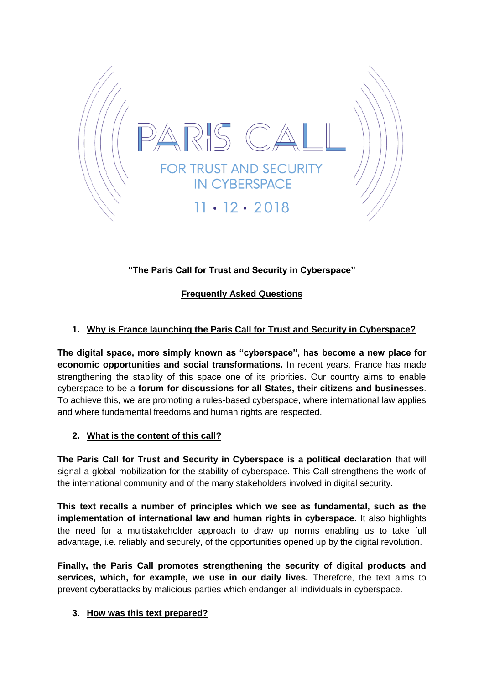

# **"The Paris Call for Trust and Security in Cyberspace"**

## **Frequently Asked Questions**

## **1. Why is France launching the Paris Call for Trust and Security in Cyberspace?**

**The digital space, more simply known as "cyberspace", has become a new place for economic opportunities and social transformations.** In recent years, France has made strengthening the stability of this space one of its priorities. Our country aims to enable cyberspace to be a **forum for discussions for all States, their citizens and businesses**. To achieve this, we are promoting a rules-based cyberspace, where international law applies and where fundamental freedoms and human rights are respected.

### **2. What is the content of this call?**

**The Paris Call for Trust and Security in Cyberspace is a political declaration** that will signal a global mobilization for the stability of cyberspace. This Call strengthens the work of the international community and of the many stakeholders involved in digital security.

**This text recalls a number of principles which we see as fundamental, such as the implementation of international law and human rights in cyberspace.** It also highlights the need for a multistakeholder approach to draw up norms enabling us to take full advantage, i.e. reliably and securely, of the opportunities opened up by the digital revolution.

**Finally, the Paris Call promotes strengthening the security of digital products and services, which, for example, we use in our daily lives.** Therefore, the text aims to prevent cyberattacks by malicious parties which endanger all individuals in cyberspace.

### **3. How was this text prepared?**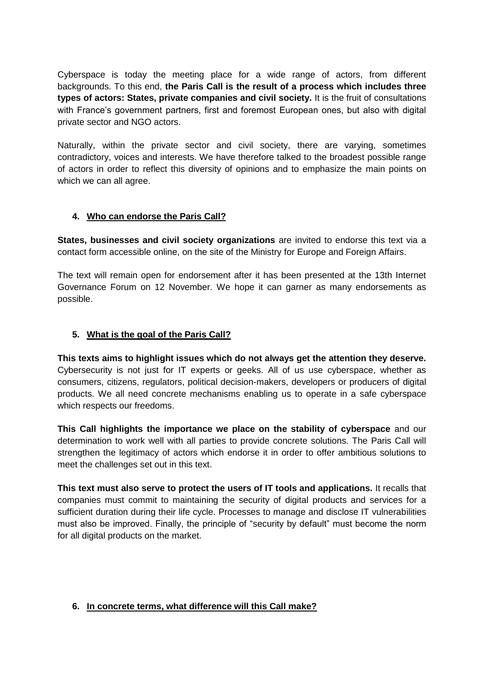Cyberspace is today the meeting place for a wide range of actors, from different backgrounds. To this end, **the Paris Call is the result of a process which includes three types of actors: States, private companies and civil society.** It is the fruit of consultations with France's government partners, first and foremost European ones, but also with digital private sector and NGO actors.

Naturally, within the private sector and civil society, there are varying, sometimes contradictory, voices and interests. We have therefore talked to the broadest possible range of actors in order to reflect this diversity of opinions and to emphasize the main points on which we can all agree.

## **4. Who can endorse the Paris Call?**

**States, businesses and civil society organizations** are invited to endorse this text via a contact form accessible online, on the site of the Ministry for Europe and Foreign Affairs.

The text will remain open for endorsement after it has been presented at the 13th Internet Governance Forum on 12 November. We hope it can garner as many endorsements as possible.

## **5. What is the goal of the Paris Call?**

**This texts aims to highlight issues which do not always get the attention they deserve.** Cybersecurity is not just for IT experts or geeks. All of us use cyberspace, whether as consumers, citizens, regulators, political decision-makers, developers or producers of digital products. We all need concrete mechanisms enabling us to operate in a safe cyberspace which respects our freedoms.

**This Call highlights the importance we place on the stability of cyberspace** and our determination to work well with all parties to provide concrete solutions. The Paris Call will strengthen the legitimacy of actors which endorse it in order to offer ambitious solutions to meet the challenges set out in this text.

**This text must also serve to protect the users of IT tools and applications.** It recalls that companies must commit to maintaining the security of digital products and services for a sufficient duration during their life cycle. Processes to manage and disclose IT vulnerabilities must also be improved. Finally, the principle of "security by default" must become the norm for all digital products on the market.

### **6. In concrete terms, what difference will this Call make?**